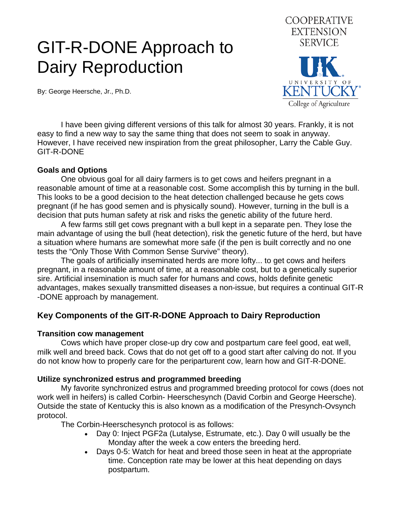# GIT-R-DONE Approach to Dairy Reproduction

By: George Heersche, Jr., Ph.D.



 I have been giving different versions of this talk for almost 30 years. Frankly, it is not easy to find a new way to say the same thing that does not seem to soak in anyway. However, I have received new inspiration from the great philosopher, Larry the Cable Guy. GIT-R-DONE

#### **Goals and Options**

 One obvious goal for all dairy farmers is to get cows and heifers pregnant in a reasonable amount of time at a reasonable cost. Some accomplish this by turning in the bull. This looks to be a good decision to the heat detection challenged because he gets cows pregnant (if he has good semen and is physically sound). However, turning in the bull is a decision that puts human safety at risk and risks the genetic ability of the future herd.

 A few farms still get cows pregnant with a bull kept in a separate pen. They lose the main advantage of using the bull (heat detection), risk the genetic future of the herd, but have a situation where humans are somewhat more safe (if the pen is built correctly and no one tests the "Only Those With Common Sense Survive" theory).

 The goals of artificially inseminated herds are more lofty... to get cows and heifers pregnant, in a reasonable amount of time, at a reasonable cost, but to a genetically superior sire. Artificial insemination is much safer for humans and cows, holds definite genetic advantages, makes sexually transmitted diseases a non-issue, but requires a continual GIT-R -DONE approach by management.

## **Key Components of the GIT-R-DONE Approach to Dairy Reproduction**

#### **Transition cow management**

 Cows which have proper close-up dry cow and postpartum care feel good, eat well, milk well and breed back. Cows that do not get off to a good start after calving do not. If you do not know how to properly care for the periparturent cow, learn how and GIT-R-DONE.

#### **Utilize synchronized estrus and programmed breeding**

 My favorite synchronized estrus and programmed breeding protocol for cows (does not work well in heifers) is called Corbin- Heerschesynch (David Corbin and George Heersche). Outside the state of Kentucky this is also known as a modification of the Presynch-Ovsynch protocol.

The Corbin-Heerschesynch protocol is as follows:

- Day 0: Inject PGF2a (Lutalyse, Estrumate, etc.). Day 0 will usually be the Monday after the week a cow enters the breeding herd.
- Days 0-5: Watch for heat and breed those seen in heat at the appropriate time. Conception rate may be lower at this heat depending on days postpartum.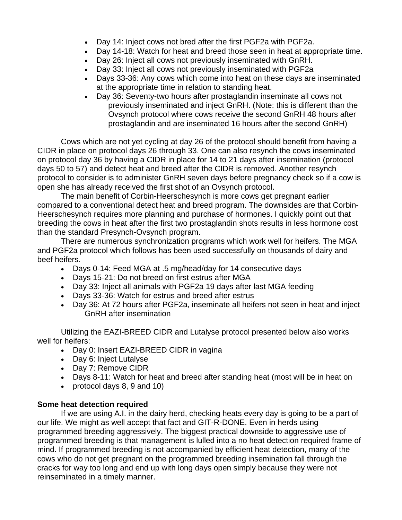- Day 14: Inject cows not bred after the first PGF2a with PGF2a.
- Day 14-18: Watch for heat and breed those seen in heat at appropriate time.
- Day 26: Inject all cows not previously inseminated with GnRH.
- Day 33: Inject all cows not previously inseminated with PGF2a
- Days 33-36: Any cows which come into heat on these days are inseminated at the appropriate time in relation to standing heat.
- Day 36: Seventy-two hours after prostaglandin inseminate all cows not previously inseminated and inject GnRH. (Note: this is different than the Ovsynch protocol where cows receive the second GnRH 48 hours after prostaglandin and are inseminated 16 hours after the second GnRH)

 Cows which are not yet cycling at day 26 of the protocol should benefit from having a CIDR in place on protocol days 26 through 33. One can also resynch the cows inseminated on protocol day 36 by having a CIDR in place for 14 to 21 days after insemination (protocol days 50 to 57) and detect heat and breed after the CIDR is removed. Another resynch protocol to consider is to administer GnRH seven days before pregnancy check so if a cow is open she has already received the first shot of an Ovsynch protocol.

 The main benefit of Corbin-Heerschesynch is more cows get pregnant earlier compared to a conventional detect heat and breed program. The downsides are that Corbin-Heerschesynch requires more planning and purchase of hormones. I quickly point out that breeding the cows in heat after the first two prostaglandin shots results in less hormone cost than the standard Presynch-Ovsynch program.

 There are numerous synchronization programs which work well for heifers. The MGA and PGF2a protocol which follows has been used successfully on thousands of dairy and beef heifers.

- Days 0-14: Feed MGA at .5 mg/head/day for 14 consecutive days
- Days 15-21: Do not breed on first estrus after MGA
- Day 33: Inject all animals with PGF2a 19 days after last MGA feeding
- Days 33-36: Watch for estrus and breed after estrus
- Day 36: At 72 hours after PGF2a, inseminate all heifers not seen in heat and inject GnRH after insemination

 Utilizing the EAZI-BREED CIDR and Lutalyse protocol presented below also works well for heifers:

- Day 0: Insert EAZI-BREED CIDR in vagina
- Day 6: Inject Lutalyse
- Day 7: Remove CIDR
- Days 8-11: Watch for heat and breed after standing heat (most will be in heat on
- protocol days 8, 9 and 10)

### **Some heat detection required**

 If we are using A.I. in the dairy herd, checking heats every day is going to be a part of our life. We might as well accept that fact and GIT-R-DONE. Even in herds using programmed breeding aggressively. The biggest practical downside to aggressive use of programmed breeding is that management is lulled into a no heat detection required frame of mind. If programmed breeding is not accompanied by efficient heat detection, many of the cows who do not get pregnant on the programmed breeding insemination fall through the cracks for way too long and end up with long days open simply because they were not reinseminated in a timely manner.